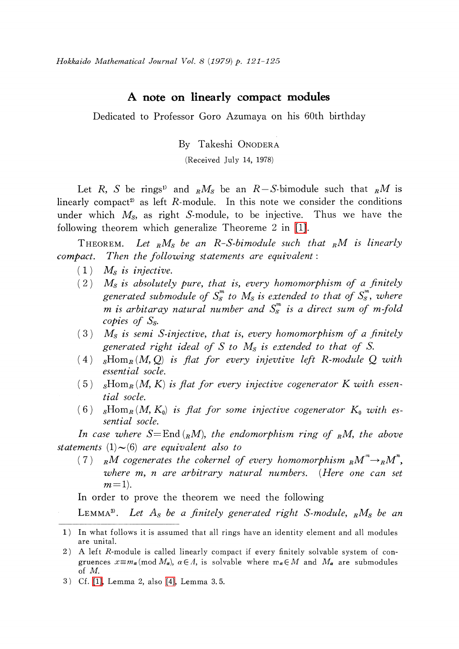## A note on linearly compact modules

Dedicated to Professor Goro Azumaya on his 60th birthday

By Takeshi ONODERA

(Received July 14, 1978)

Let R, S be rings<sup>1)</sup> and  $_R M_S$  be an R–S-bimodule such that  $_R M$  is linearly compact<sup>2)</sup> as left R-module. In this note we consider the conditions under which  $M_{\rm s}$ , as right S-module, to be injective. Thus we have the following theorem which generalize Theoreme 2 in [\[1\].](#page-4-0)

THEOREM. Let  $_R M_S$  be an R-S-bimodule such that  $_R M$  is linearly compact. Then the following statements are equivalent:

- $(1)$   $M_{S}$  is injective.
- $(2)$  M<sub>s</sub> is absolutely pure, that is, every homomorphism of a finitely generated submodule of  $S_{S}^{m}$  to  $M_{S}$  is extended to that of  $S_{S}^{m}$ , where m is arbitaray natural number and  $S_{S}^{m}$  is a direct sum of m-fold copies of  $S_{s}$ .
- $(3)$  M<sub>S</sub> is semi S-injective, that is, every homomorphism of a finitely generated right ideal of S to  $M_{S}$  is extended to that of S.
- (4)  ${}_{S}$ Hom<sub>R</sub>(M, Q) is flat for every injevtive left R-module Q with essential socle.
- (5)  ${}_{S}Hom_{R}(M, K)$  is flat for every injective cogenerator K with essential socle.
- (6)  ${}_{S}Hom_{R}(M, K_{0})$  is flat for some injective cogenerator  $K_{0}$  with essential socle.

In case where  $S=\text{End}_{R}(n)$ , the endomorphism ring of RM, the above statements  $(1)$  $\sim$  $(6)$  are equivalent also to

(7) RM cogenerates the cokernel of every homomorphism  $\kappa_{R}M^{m}\rightarrow_{R}M^{n}$ , where m, n are arbitrary natural numbers. (Here one can set  $m=1$ ).

In order to prove the theorem we need the following

LEMMA<sup>3)</sup>. Let A<sub>S</sub> be a finitely generated right S-module,  $_R M_S$  be an

<sup>1)</sup> In what follows it is assumed that all rings have an identity element and all modules are unital.

<sup>2)</sup> A left R-module is called linearly compact if every finitely solvable system of congruences  $x {\equiv} m_{\alpha} (\text{mod } M_{\alpha})$ ,  $\alpha\in\Lambda$ , is solvable where  $m_{\alpha}\in M$  and  $M_{\alpha}$  are submodules of M.

<sup>3)</sup> Cf. [\[1\],](#page-4-0) Lemma 2, also [\[4\],](#page-4-1) Lemma 3. 5.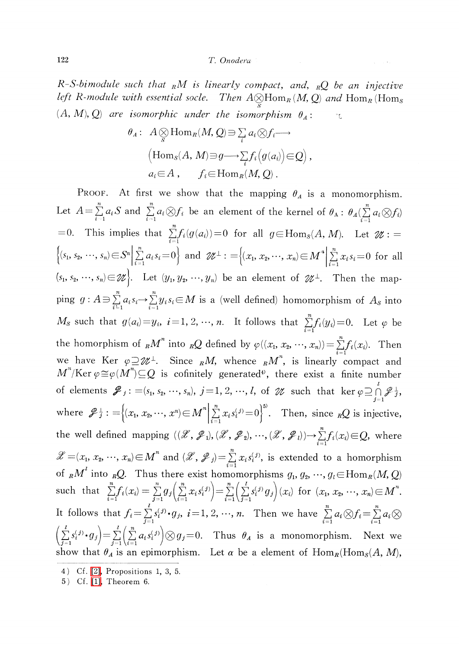## 122 T. Onodera

R-S-bimodule such that  $\ _{R}M$  is linearly compact, and,  $\ _{R}Q$  be an injective left R-module with essential socle. Then  $A \otimes_{R} \text{Hom}_{R}(M, Q)$  and  $\text{Hom}_{R}(\text{Hom}_{S})$  $(A, M), Q$  are isomorphic under the isomorphism  $\theta_{A}$ :  $\cdot$ 

$$
\theta_A: A \underset{S}{\otimes} \text{Hom}_R(M, Q) \ni \sum_i a_i \otimes f_i \longrightarrow
$$
  
\n
$$
\left(\text{Hom}_S(A, M) \ni g \longrightarrow \sum_i f_i \left(g(a_i)\right) \in Q\right),
$$
  
\n
$$
a_i \in A, \qquad f_i \in \text{Hom}_R(M, Q).
$$

PROOF. At first we show that the mapping  $\theta_{A}$  is a monomorphism. Let  $A=\sum_{i=1}^{n}a_{i}S$  and  $\sum_{i=1}^{n}a_{i}\otimes f_{i}$  be an element of the kernel of  $\theta_{A}$ :  $\theta_{A}(\sum_{i=1}^{n}a_{i}\otimes f_{i})$ =0. This implies that  $\sum_{i=1}^{n}f_{i}(g(a_{i}))=0$  for all  $g\in Hom_{S}(A, M)$ . Let  $\mathcal{U}$  :=  $\{(s_{1}, s_{2}, \ldots, s_{n})\in S^{n}|\sum_{i=1}^{n}a_{i}s_{i}=0\}$  and  $\mathscr{U}^{\perp}: = \{(x_{1}, x_{2}, \ldots, x_{n})\in M^{n}|\sum_{i=1}^{n}x_{i}s_{i}=0$  for all  $\langle s_{1}, s_{2}, \cdots, s_{n}\rangle {\in}\mathscr{U}\big\}$ . Let  $\langle y_{1}, y_{2}, \cdots, y_{n}\rangle$  be an element of  $\mathscr{U}^{\perp}$ . Then the mapping  $g: A \Rightarrow \sum_{i=1}^{n} a_{i} s_{i} \rightarrow \sum_{i=1}^{n} y_{i} s_{i} \in M$  is a (well defined) homomorphism of  $A_{S}$  into  $M_{S}$  such that  $g(a_{i}) = y_{i}$ ,  $i = 1,2, \cdots, n$ . It follows that  $\sum_{i=1}^{n}f_{i}(y_{i})=0$ . Let  $\varphi$  be the homorphism of  ${}_{R}M^{n}$  into  ${}_{R}Q$  defined by  $\varphi((x_{1}, x_{2}, \cdots, x_{n}))=\sum_{i}^{n}f_{i}(x_{i})$ . Then we have Ker  $\varphi\!\supseteq\!\!\mathscr{U}^{\perp}$ . Since  ${}_RM,$  whence  ${}_RM^{n},$  is linearly compact and  $M^{n}/\mathrm{Ker}\varphi\cong\varphi(M^{n})\subseteq Q$  is cofinitely generated<sup>4)</sup>, there exist a finite number of elements  ${\mathscr{J}}_j$  : =(s<sub>1</sub>, s<sub>2</sub>, …, s<sub>n</sub>), j=1,2, …, *l*, of  ${\mathscr{U}}$  such that ker  $\varphi\supseteq\bigcap\limits^l{\mathscr{J}}_{j}^{\perp}$ where  $\mathscr{Z}_{j}^{\perp} := \{(x_{1}, x_{2}, \cdots, x^{n})\in M^{n}|\sum_{i=1}^{n}x_{i}s_{i}^{(j)}=0\}^{5}$ . Then, since  ${}_{R}Q$  is injective, the well defined mapping  $((\mathscr{X}, \mathscr{P}_{1}), (\mathscr{X}, \mathscr{P}_{2}), \cdots, (\mathscr{X}, \mathscr{P}_{l})) {\rightarrow} \sum f_{i}(x_{i}){\in}Q,$  where  $\mathscr{X}$  =(x<sub>1</sub>, x<sub>2</sub>, …, x<sub>n</sub>)  $\in$  M<sup>\*</sup> and (  $\mathscr{X},$   $\mathscr{S}_{j}$ ) =  $\sum_{i}x_{i}s_{i}^{(j)}$ , is extended to a homorphism of  ${}_{R}M^{e}$  into  ${}_{R}Q$ . Thus there exist homomorphisms  $g_{1} , g_{2} , \cdots , g_{l}\!\in\!\mathrm{Hom}_{R}(M, Q)$ such that  $\sum_{i=1}^{n}f_{i}(x_{i})=\sum_{i=1}^{n}g_{j}(\sum_{i=1}^{n}x_{i}s_{i}^{(j)})=\sum_{i=1}^{n}(\sum_{i=1}^{l}s_{i}^{(j)}g_{j})(x_{i})$  for  $(x_{1}, x_{2}, \ldots, x_{n})\in M^{n}$ . It follows that  $f_{i} = \sum_{i}^{j} s_{i}^{(j)}\cdot g_{j}$ ,  $i=1,2, \cdots, n$ . Then we have  $\sum_{i}^{n} a_{i}\otimes f_{i} = \sum_{i}^{n} a_{i}\otimes f_{i}$  $(\sum_{j} s_{i}^{(j)}\cdot g_{j})=\sum_{j}(\sum_{j}a_{i}s_{i}^{(j)})\otimes g_{j}=0.$  Thus  $\theta_{A}$  is a monomorphism. Next we show that  $\theta_{A}$  is an epimorphism. Let  $\alpha$  be a element of  $\text{Hom}_{R}(\text{Hom}_{S}(A, M) ,$ 

<sup>4)</sup> Cf. [\[2\],](#page-4-2) Propositions 1, 3, 5.

<sup>5)</sup> Cf. [\[1\],](#page-4-0) Theorem 6.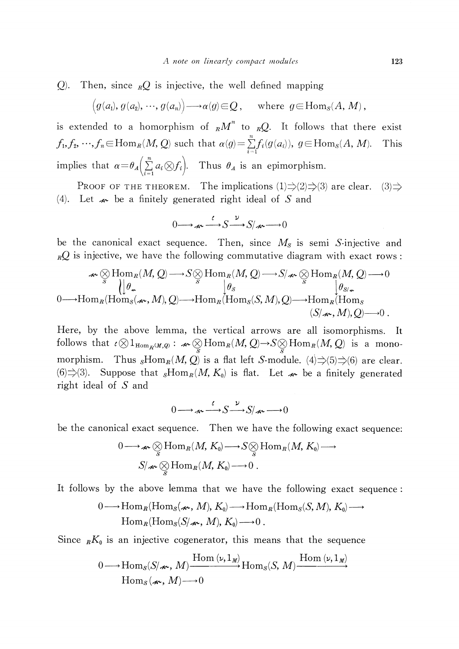Q). Then, since  $_RQ$  is injective, the well defined mapping

$$
(g(a_1), g(a_2), \cdots, g(a_n)) \longrightarrow \alpha(g) \in \mathcal{Q}
$$
, where  $g \in \text{Hom}_S(A, M)$ ,

is extended to a homorphism of  $_{R}M^{n}$  to  $_{R}Q$ . It follows that there exist  $f_{1},f_{2}, \ldots,f_{n}\in \text{Hom}_{R} (M, Q)$  such that  $\alpha(g)=\sum_{i=1}^{n}f_{i}(g(a_{i})) , g\in \text{Hom}_{S}(A, M)$ . This implies that  $\alpha\!=\!\theta_{A}(\sum a_{i}\!\otimes\!\! f_{i}).$  Thus  $\theta_{A}$  is an epimorphism.

PROOF OF THE THEOREM. The implications  $(1)\Rightarrow(2)\Rightarrow(3)$  are clear.  $(3)\Rightarrow$ (4). Let  $\boldsymbol{\kappa}$  be a finitely generated right ideal of S and

$$
0 \longrightarrow \mathcal{A} \longrightarrow S \longrightarrow S/\mathcal{A} \longrightarrow 0
$$

be the canonical exact sequence. Then, since  $M_{S}$  is semi S-injective and  $RQ$  is injective, we have the following commutative diagram with exact rows:

$$
\mathcal{A} \otimes \text{Hom}_{R}(M, Q) \longrightarrow S \otimes \text{Hom}_{R}(M, Q) \longrightarrow S/\mathcal{A} \otimes \text{Hom}_{R}(M, Q) \longrightarrow 0
$$
  
\n
$$
\downarrow \theta_{\mathcal{A}} \qquad \qquad \downarrow \theta_{\mathcal{B}} \qquad \qquad \downarrow \theta_{\mathcal{S}} \qquad \qquad \downarrow \theta_{\mathcal{S}/\mathcal{A}} \qquad \qquad \downarrow \theta_{\mathcal{S}/\mathcal{A}}.
$$
  
\n0 $\longrightarrow \text{Hom}_{R}(\text{Hom}_{S}(\mathcal{A}^{\mathcal{A}}, M), Q) \longrightarrow \text{Hom}_{R}(\text{Hom}_{S}(S, M), Q) \longrightarrow \text{Hom}_{R}(\text{Hom}_{S}(\mathcal{S}/\mathcal{A}^{\mathcal{A}}, M), Q) \longrightarrow 0.$ 

Here, by the above lemma, the vertical arrows are all isomorphisms. It follows that  $\iota\otimes 1_{\text{Hom}_{R}(M,Q)}$ :  $\mathcal{M}\otimes_{S}Hom_{R}(M, Q)\rightarrow S\otimes_{S}Hom_{R}(M, Q)$  is a monomorphism. Thus  ${}_{S}Hom_{R}(M, Q)$  is a flat left S-module. (4) $\Rightarrow$ (5) $\Rightarrow$ (6) are clear. (6) $\Rightarrow$ (3). Suppose that  $_{S} \mathrm{Hom}_{R}(M, K_{0})$  is flat. Let  $\not\sim\,$  be a finitely generated right ideal of S and

$$
0 \longrightarrow \mathcal{A} \xrightarrow{\ell} S \xrightarrow{\nu} S/\mathcal{A} \xrightarrow{\sim} 0
$$

be the canonical exact sequence. Then we have the following exact sequence:

$$
0 \longrightarrow_{\mathscr{A}} \underset{S}{\otimes} \text{Hom}_R(M, K_0) \longrightarrow S \underset{S}{\otimes} \text{Hom}_R(M, K_0) \longrightarrow
$$
  

$$
S/\mathscr{A} \underset{S}{\otimes} \text{Hom}_R(M, K_0) \longrightarrow 0.
$$

It follows by the above lemma that we have the following exact sequence:

$$
0 \longrightarrow \text{Hom}_{R}(\text{Hom}_{S}(\mathcal{A}_{\bullet}, M), K_{0}) \longrightarrow \text{Hom}_{R}(\text{Hom}_{S}(S, M), K_{0}) \longrightarrow
$$
  
Hom\_{R}(\text{Hom}\_{S}(S/\mathcal{A}\_{\bullet}, M), K\_{0}) \longrightarrow 0.

Since 
$$
_{R}K_{0}
$$
 is an injective cogenerator, this means that the sequence  
\n
$$
0 \longrightarrow \text{Hom}_{S}(S/\mathcal{A}^{\bullet}, M) \xrightarrow{\text{Hom}(\nu, 1_{M})} \text{Hom}_{S}(S, M) \xrightarrow{\text{Hom}(\nu, 1_{M})} \text{Hom}_{S}(\mathcal{A}^{\bullet}, M) \longrightarrow 0
$$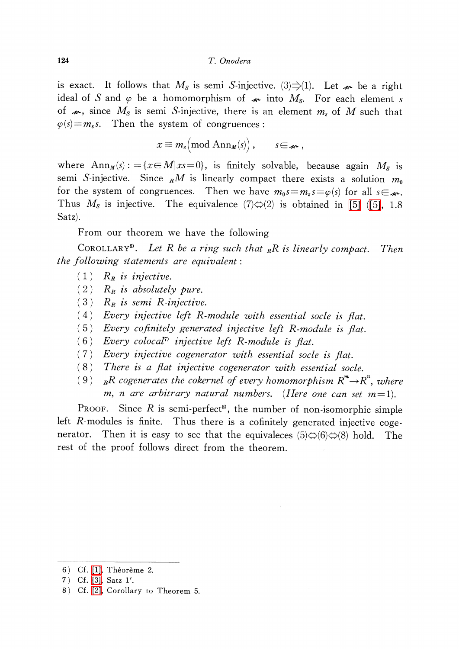## 124 T. Onodera

is exact. It follows that  $M_{\rm s}$  is semi S-injective. (3) $\Rightarrow$ (1). Let  $\boldsymbol{\varkappa}$  be a right ideal of S and  $\varphi$  be a homomorphism of  $\star\!\!\star$  into  $M_{S}$ . For each element s of  $\boldsymbol{\varkappa}$ , since  $M_{S}$  is semi S-injective, there is an element  $m_{s}$  of M such that  $\varphi(s)=m_{s}s$ . Then the system of congruences:

$$
x \equiv m_s \pmod{\operatorname{Ann}_{M}(s)}, \qquad s \in \mathcal{A}.
$$

where  $\text{Ann}_{M}(s)$ : ={ $x\in M|x=0\rangle$ , is finitely solvable, because again  $M_{S}$  is semi S-injective. Since  $\ _{R}M$  is linearly compact there exists a solution  $m_{0}$ for the system of congruences. Then we have  $m_{0}s=m_{s}s=\varphi(s)$  for all  $s\in\mathcal{A}$ . Thus  $M_{\rm s}$  is injective. The equivalence  $(7)\Leftrightarrow(2)$  is obtained in [\[5\]](#page-4-3) [\(\[5\],](#page-4-3) 1.8 Satz).

From our theorem we have the following

COROLLARY<sup>6</sup>. Let R be a ring such that  $_RR$  is linearly compact. Then the following statements are equivalent:

- $(1)$   $R_{R}$  is injective.
- $(2)$  R<sub>R</sub> is absolutely pure.
- $(3)$   $R_{R}$  is semi R-injective.
- (4) Every injective left R-module with essential socle is flat.
- (5) Every cofinitely generated injective left R-module is flat.<br>(6) Every colocal<sup>n</sup> injective left R-module is flat.
- Every colocal<sup> $7$ </sup> injective left R-module is flat.
- (7) Every injective cogenerator with essential socle is flat.
- (8) There is <sup>a</sup> flat injective cogenerator with essential socle.
- (9)  $_RR$  cogenerates the cokernel of every homomorphism  $R^{m}\!\!\rightarrow\!\! R^{n},$  where m, n are arbitrary natural numbers. (Here one can set  $m=1$ ).

PROOF. Since  $R$  is semi-perfect<sup>8</sup>, the number of non-isomorphic simple left R-modules is finite. Thus there is a cofinitely generated injective cogenerator. Then it is easy to see that the equivaleces  $(5)\Leftrightarrow(6)\Leftrightarrow(8)$  hold. The rest of the proof follows direct from the theorem.

<sup>6)</sup> Cf. [\[1\],](#page-4-0) Théorème 2.

<sup>7)</sup> Cf. [\[3\],](#page-4-4) Satz 1'.

<sup>8)</sup> Cf. [\[2\],](#page-4-2) Corollary to Theorem 5.